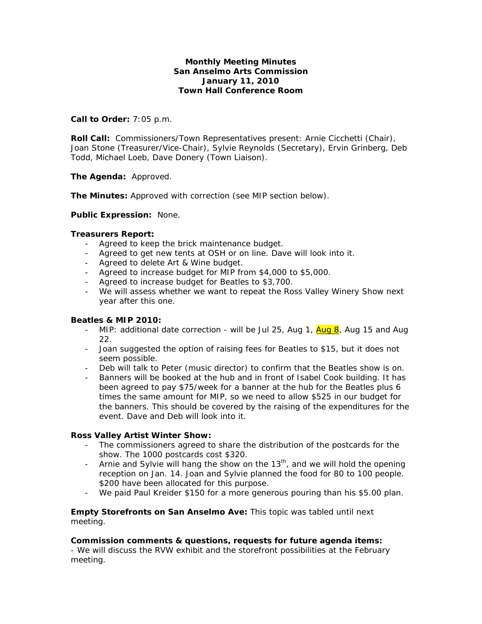# **Monthly Meeting Minutes San Anselmo Arts Commission January 11, 2010 Town Hall Conference Room**

## **Call to Order:** 7:05 p.m.

**Roll Call:** Commissioners/Town Representatives present: Arnie Cicchetti (Chair), Joan Stone (Treasurer/Vice-Chair), Sylvie Reynolds (Secretary), Ervin Grinberg, Deb Todd, Michael Loeb, Dave Donery (Town Liaison).

### **The Agenda:** Approved.

**The Minutes:** Approved with correction (see MIP section below).

### **Public Expression:** None.

### **Treasurers Report:**

- Agreed to keep the brick maintenance budget.
- Agreed to get new tents at OSH or on line. Dave will look into it.
- Agreed to delete Art & Wine budget.
- Agreed to increase budget for MIP from \$4,000 to \$5,000.
- Agreed to increase budget for Beatles to \$3,700.
- We will assess whether we want to repeat the Ross Valley Winery Show next year after this one.

# **Beatles & MIP 2010:**

- MIP: additional date correction will be Jul 25, Aug 1, Aug 8, Aug 15 and Aug 22.
- Joan suggested the option of raising fees for Beatles to \$15, but it does not seem possible.
- Deb will talk to Peter (music director) to confirm that the Beatles show is on.
- Banners will be booked at the hub and in front of Isabel Cook building. It has been agreed to pay \$75/week for a banner at the hub for the Beatles plus 6 times the same amount for MIP, so we need to allow \$525 in our budget for the banners. This should be covered by the raising of the expenditures for the event. Dave and Deb will look into it.

#### **Ross Valley Artist Winter Show:**

- The commissioners agreed to share the distribution of the postcards for the show. The 1000 postcards cost \$320.
- Arnie and Sylvie will hang the show on the  $13<sup>th</sup>$ , and we will hold the opening reception on Jan. 14. Joan and Sylvie planned the food for 80 to 100 people. \$200 have been allocated for this purpose.
- We paid Paul Kreider \$150 for a more generous pouring than his \$5.00 plan.

**Empty Storefronts on San Anselmo Ave:** This topic was tabled until next meeting.

#### **Commission comments & questions, requests for future agenda items:**

- We will discuss the RVW exhibit and the storefront possibilities at the February meeting.